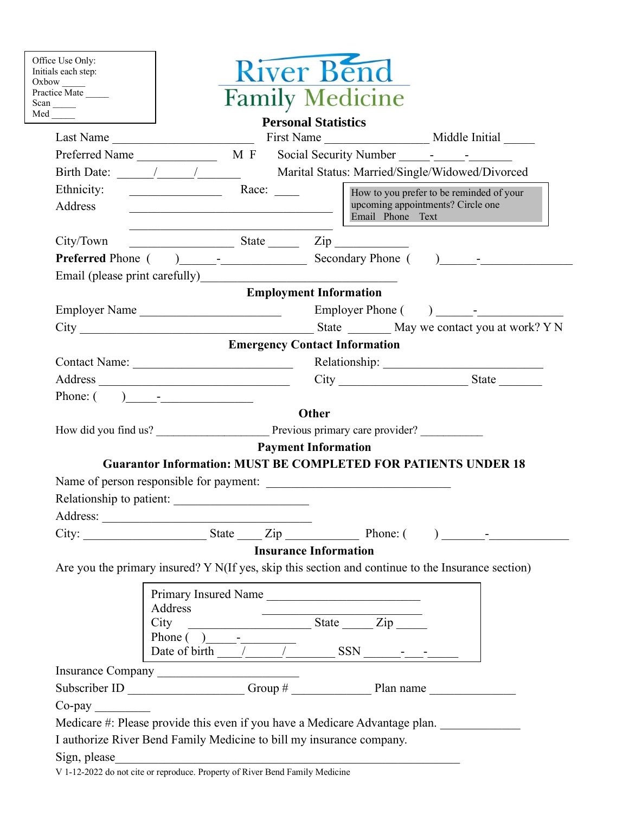| Practice Mate<br>$Scan$ <sub>_____</sub> | <b>Family Medicine</b>                                                                                                                                                                                                                                                                                                                                                                                       |  |
|------------------------------------------|--------------------------------------------------------------------------------------------------------------------------------------------------------------------------------------------------------------------------------------------------------------------------------------------------------------------------------------------------------------------------------------------------------------|--|
| $Med$ <sub>_____</sub>                   | <b>Personal Statistics</b>                                                                                                                                                                                                                                                                                                                                                                                   |  |
|                                          | Last Name                                                                                                                                                                                                                                                                                                                                                                                                    |  |
|                                          |                                                                                                                                                                                                                                                                                                                                                                                                              |  |
|                                          |                                                                                                                                                                                                                                                                                                                                                                                                              |  |
| Ethnicity:                               | $\begin{array}{c c}\n\hline\n\end{array}$ Race: $\begin{array}{c c}\n\hline\n\end{array}$<br>How to you prefer to be reminded of your                                                                                                                                                                                                                                                                        |  |
| Address                                  | upcoming appointments? Circle one<br><u> 1989 - Johann Barbara, martxa amerikan personal (</u><br>Email Phone Text                                                                                                                                                                                                                                                                                           |  |
| City/Town                                | $\frac{1}{\sqrt{1-\frac{1}{2}}\sqrt{1-\frac{1}{2}}\sqrt{1-\frac{1}{2}}\sqrt{1-\frac{1}{2}}}}$ State $\frac{1}{\sqrt{1-\frac{1}{2}}\sqrt{1-\frac{1}{2}}\sqrt{1-\frac{1}{2}}\sqrt{1-\frac{1}{2}}\sqrt{1-\frac{1}{2}}\sqrt{1-\frac{1}{2}}\sqrt{1-\frac{1}{2}}\sqrt{1-\frac{1}{2}}\sqrt{1-\frac{1}{2}}\sqrt{1-\frac{1}{2}}\sqrt{1-\frac{1}{2}}\sqrt{1-\frac{1}{2}}\sqrt{1-\frac{1}{2}}\sqrt{1-\frac{1}{2}}\sqrt$ |  |
|                                          |                                                                                                                                                                                                                                                                                                                                                                                                              |  |
|                                          | Email (please print carefully)<br><u>Email</u> (please print carefully)                                                                                                                                                                                                                                                                                                                                      |  |
|                                          | <b>Employment Information</b>                                                                                                                                                                                                                                                                                                                                                                                |  |
|                                          |                                                                                                                                                                                                                                                                                                                                                                                                              |  |
|                                          |                                                                                                                                                                                                                                                                                                                                                                                                              |  |
|                                          | <b>Emergency Contact Information</b>                                                                                                                                                                                                                                                                                                                                                                         |  |
|                                          |                                                                                                                                                                                                                                                                                                                                                                                                              |  |
|                                          | $City$ State                                                                                                                                                                                                                                                                                                                                                                                                 |  |
|                                          | Phone: $($ $)$ $-$                                                                                                                                                                                                                                                                                                                                                                                           |  |
|                                          | <b>Other</b>                                                                                                                                                                                                                                                                                                                                                                                                 |  |
|                                          |                                                                                                                                                                                                                                                                                                                                                                                                              |  |
|                                          | <b>Payment Information</b>                                                                                                                                                                                                                                                                                                                                                                                   |  |
|                                          | <b>Guarantor Information: MUST BE COMPLETED FOR PATIENTS UNDER 18</b>                                                                                                                                                                                                                                                                                                                                        |  |
|                                          | Name of person responsible for payment:                                                                                                                                                                                                                                                                                                                                                                      |  |
| Relationship to patient:                 |                                                                                                                                                                                                                                                                                                                                                                                                              |  |
|                                          |                                                                                                                                                                                                                                                                                                                                                                                                              |  |
|                                          |                                                                                                                                                                                                                                                                                                                                                                                                              |  |
|                                          | <b>Insurance Information</b>                                                                                                                                                                                                                                                                                                                                                                                 |  |
|                                          | Are you the primary insured? Y N(If yes, skip this section and continue to the Insurance section)                                                                                                                                                                                                                                                                                                            |  |
|                                          | Primary Insured Name                                                                                                                                                                                                                                                                                                                                                                                         |  |
|                                          | Address                                                                                                                                                                                                                                                                                                                                                                                                      |  |
|                                          | $\frac{1}{\sqrt{1-\frac{1}{2}}\sqrt{1-\frac{1}{2}}\sqrt{1-\frac{1}{2}}\sqrt{1-\frac{1}{2}}}}$<br>City                                                                                                                                                                                                                                                                                                        |  |
|                                          | Phone $\begin{pmatrix} 0 & 1 \\ 0 & 1 \end{pmatrix}$                                                                                                                                                                                                                                                                                                                                                         |  |
|                                          | Date of birth $\frac{\sqrt{1-\frac{1}{2}}}{\sqrt{1-\frac{1}{2}}}}$ SSN                                                                                                                                                                                                                                                                                                                                       |  |
|                                          |                                                                                                                                                                                                                                                                                                                                                                                                              |  |
|                                          |                                                                                                                                                                                                                                                                                                                                                                                                              |  |
| $Co$ -pay                                |                                                                                                                                                                                                                                                                                                                                                                                                              |  |

V 1-12-2022 do not cite or reproduce. Property of River Bend Family Medicine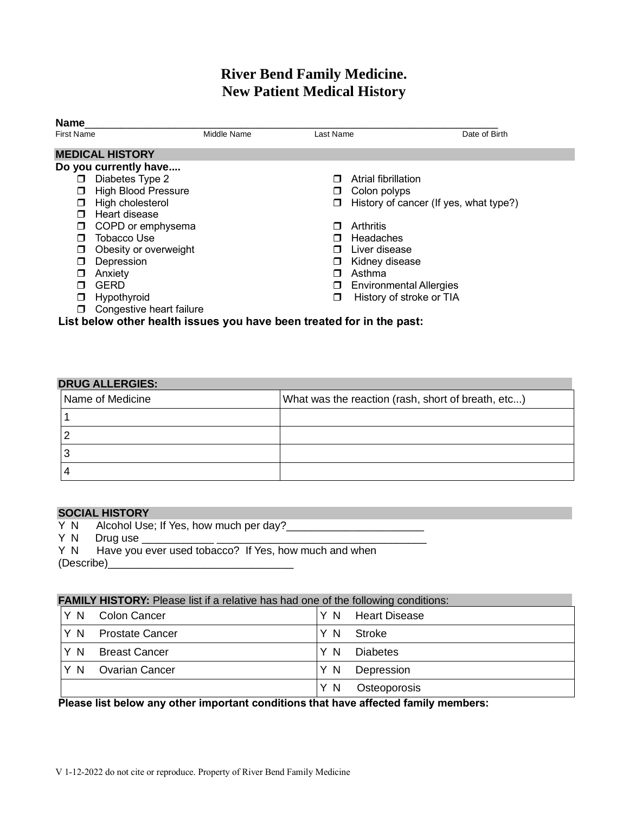### **River Bend Family Medicine. New Patient Medical History**

| <b>Name</b><br><b>First Name</b>                                      | Middle Name | Last Name | Date of Birth                          |
|-----------------------------------------------------------------------|-------------|-----------|----------------------------------------|
|                                                                       |             |           |                                        |
| <b>MEDICAL HISTORY</b>                                                |             |           |                                        |
| Do you currently have                                                 |             |           |                                        |
| Diabetes Type 2<br>□                                                  |             | П         | Atrial fibrillation                    |
| <b>High Blood Pressure</b><br>□                                       |             | $\sqcup$  | Colon polyps                           |
| High cholesterol<br>□                                                 |             | □         | History of cancer (If yes, what type?) |
| Heart disease<br>⊓                                                    |             |           |                                        |
| COPD or emphysema<br>□                                                |             | ⊓         | Arthritis                              |
| Tobacco Use<br>П                                                      |             |           | Headaches                              |
| Obesity or overweight<br>□                                            |             | П         | Liver disease                          |
| Depression<br>◻                                                       |             | □         | Kidney disease                         |
| Anxiety<br>П                                                          |             | п         | Asthma                                 |
| <b>GERD</b><br>П                                                      |             | □         | <b>Environmental Allergies</b>         |
| Hypothyroid<br>◻                                                      |             | □         | History of stroke or TIA               |
| Congestive heart failure<br>□                                         |             |           |                                        |
| List below other health issues you have been treated for in the past: |             |           |                                        |

### **DRUG ALLERGIES:**  Name of Medicine What was the reaction (rash, short of breath, etc...) 1 2 3 4

# **SOCIAL HISTORY**<br>Y N Alcohol Use;

- Alcohol Use; If Yes, how much per day?
- Y N Drug use \_\_\_\_\_\_\_\_\_\_\_\_ \_\_\_\_\_\_\_\_\_\_\_\_\_\_\_\_\_\_\_\_\_\_\_\_\_\_\_\_\_\_\_\_\_\_\_
- Have you ever used tobacco? If Yes, how much and when

(Describe)\_\_\_\_\_\_\_\_\_\_\_\_\_\_\_\_\_\_\_\_\_\_\_\_\_\_\_\_\_\_\_

#### **FAMILY HISTORY:** Please list if a relative has had one of the following conditions:

| Y N               | Colon Cancer           | Υ<br><sup>N</sup> | Heart Disease |
|-------------------|------------------------|-------------------|---------------|
| Y N               | <b>Prostate Cancer</b> | Y<br>N            | Stroke        |
| Y N               | <b>Breast Cancer</b>   | N                 | Diabetes      |
| Y<br><sup>N</sup> | <b>Ovarian Cancer</b>  | - N<br>Y.         | Depression    |
|                   |                        | Y<br>N            | Osteoporosis  |

#### **Please list below any other important conditions that have affected family members:**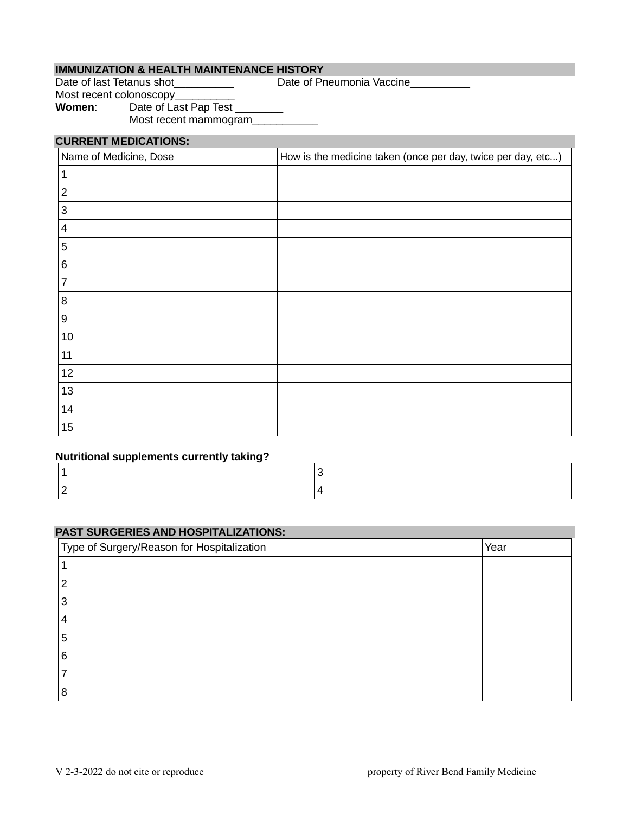#### **IMMUNIZATION & HEALTH MAINTENANCE HISTORY**

Date of last Tetanus shot\_\_\_\_\_\_\_\_\_\_\_\_\_\_\_\_\_\_\_\_\_ Date of Pneumonia Vaccine\_\_\_\_\_\_\_\_

Most recent colonoscopy\_\_\_\_\_\_\_ Women: Date of Last Pap Test \_\_\_\_\_\_\_ Most recent mammogram\_

#### **CURRENT MEDICATIONS:**

| Name of Medicine, Dose | How is the medicine taken (once per day, twice per day, etc) |
|------------------------|--------------------------------------------------------------|
|                        |                                                              |
| $\overline{2}$         |                                                              |
| 3                      |                                                              |
| 4                      |                                                              |
| 5                      |                                                              |
| 6                      |                                                              |
| 7                      |                                                              |
| 8                      |                                                              |
| 9                      |                                                              |
| 10                     |                                                              |
| 11                     |                                                              |
| 12                     |                                                              |
| 13                     |                                                              |
| 14                     |                                                              |
| 15                     |                                                              |

#### **Nutritional supplements currently taking?**

#### **PAST SURGERIES AND HOSPITALIZATIONS:**

| Type of Surgery/Reason for Hospitalization | Year |
|--------------------------------------------|------|
|                                            |      |
| ⌒                                          |      |
|                                            |      |
|                                            |      |
| 5                                          |      |
| 6                                          |      |
|                                            |      |
| 8                                          |      |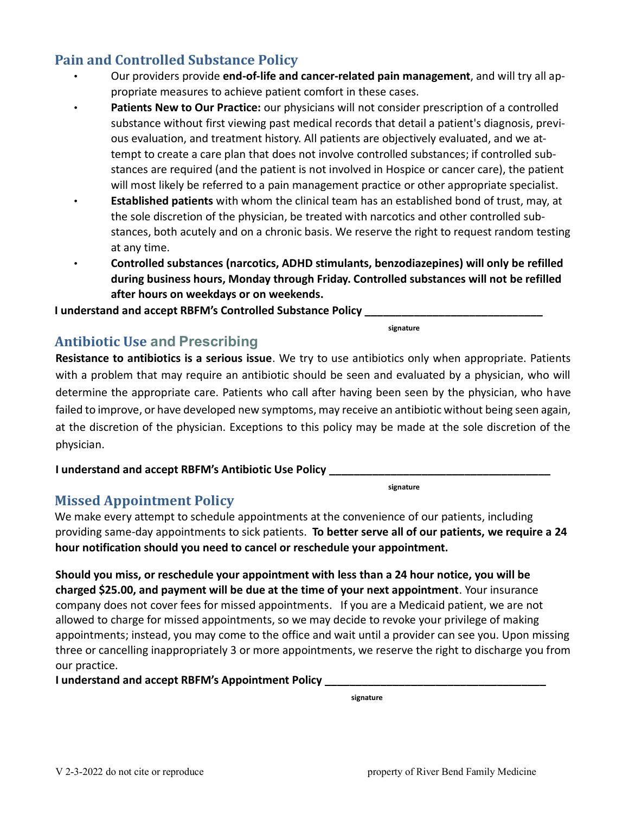### **Pain and Controlled Substance Policy**

- Our providers provide **end-of-life and cancer-related pain management**, and will try all appropriate measures to achieve patient comfort in these cases.
- **Patients New to Our Practice:** our physicians will not consider prescription of a controlled substance without first viewing past medical records that detail a patient's diagnosis, previous evaluation, and treatment history. All patients are objectively evaluated, and we attempt to create a care plan that does not involve controlled substances; if controlled substances are required (and the patient is not involved in Hospice or cancer care), the patient will most likely be referred to a pain management practice or other appropriate specialist.
- **Established patients** with whom the clinical team has an established bond of trust, may, at the sole discretion of the physician, be treated with narcotics and other controlled substances, both acutely and on a chronic basis. We reserve the right to request random testing at any time.
	- **Controlled substances (narcotics, ADHD stimulants, benzodiazepines) will only be refilled during business hours, Monday through Friday. Controlled substances will not be refilled after hours on weekdays or on weekends.**

**I understand and accept RBFM's Controlled Substance Policy \_\_\_\_\_\_\_\_\_\_\_\_\_\_\_\_\_\_\_\_\_** 

**signature**

### **Antibiotic Use and Prescribing**

**Resistance to antibiotics is a serious issue**. We try to use antibiotics only when appropriate. Patients with a problem that may require an antibiotic should be seen and evaluated by a physician, who will determine the appropriate care. Patients who call after having been seen by the physician, who have failed to improve, or have developed new symptoms, may receive an antibiotic without being seen again, at the discretion of the physician. Exceptions to this policy may be made at the sole discretion of the physician.

**I understand and accept RBFM's Antibiotic Use Policy \_\_\_\_\_\_\_\_\_\_\_\_\_\_\_\_\_\_\_\_\_\_\_\_\_\_\_\_\_\_\_\_\_\_\_\_**

**signature**

### **Missed Appointment Policy**

We make every attempt to schedule appointments at the convenience of our patients, including providing same-day appointments to sick patients. **To better serve all of our patients, we require a 24 hour notification should you need to cancel or reschedule your appointment.**

**Should you miss, or reschedule your appointment with less than a 24 hour notice, you will be charged \$25.00, and payment will be due at the time of your next appointment**. Your insurance company does not cover fees for missed appointments. If you are a Medicaid patient, we are not allowed to charge for missed appointments, so we may decide to revoke your privilege of making appointments; instead, you may come to the office and wait until a provider can see you. Upon missing three or cancelling inappropriately 3 or more appointments, we reserve the right to discharge you from our practice.

**I understand and accept RBFM's Appointment Policy \_\_\_\_\_\_\_\_\_\_\_\_\_\_\_\_\_\_\_\_\_\_\_\_\_\_\_\_\_\_\_\_\_\_\_\_**

**signature**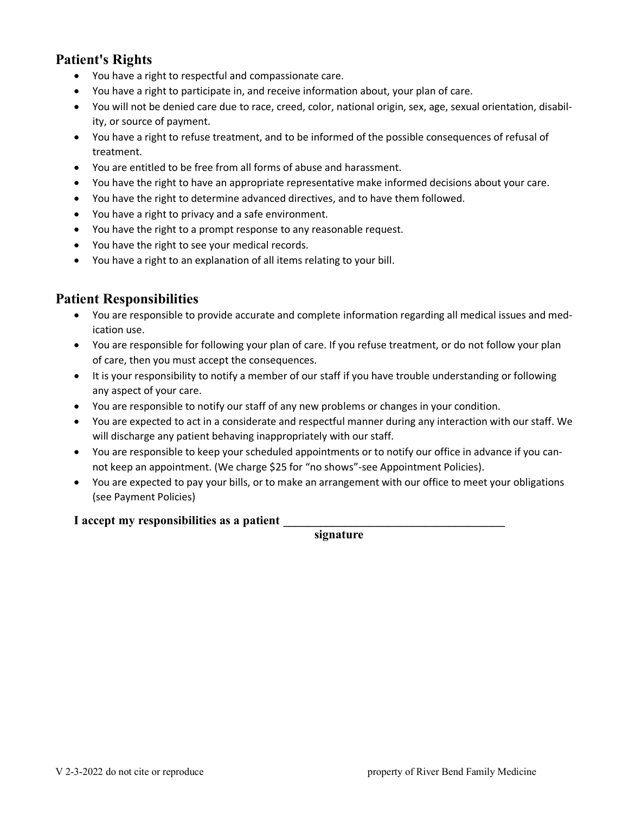### **Patient's Rights**

- You have a right to respectful and compassionate care.
- You have a right to participate in, and receive information about, your plan of care.
- You will not be denied care due to race, creed, color, national origin, sex, age, sexual orientation, disability, or source of payment.
- You have a right to refuse treatment, and to be informed of the possible consequences of refusal of treatment.
- You are entitled to be free from all forms of abuse and harassment.
- You have the right to have an appropriate representative make informed decisions about your care.
- You have the right to determine advanced directives, and to have them followed.
- You have a right to privacy and a safe environment.
- You have the right to a prompt response to any reasonable request.
- You have the right to see your medical records.
- You have a right to an explanation of all items relating to your bill.

### **Patient Responsibilities**

- You are responsible to provide accurate and complete information regarding all medical issues and medication use.
- You are responsible for following your plan of care. If you refuse treatment, or do not follow your plan of care, then you must accept the consequences.
- It is your responsibility to notify a member of our staff if you have trouble understanding or following any aspect of your care.
- You are responsible to notify our staff of any new problems or changes in your condition.
- You are expected to act in a considerate and respectful manner during any interaction with our staff. We will discharge any patient behaving inappropriately with our staff.
- You are responsible to keep your scheduled appointments or to notify our office in advance if you cannot keep an appointment. (We charge \$25 for "no shows"-see Appointment Policies).
- You are expected to pay your bills, or to make an arrangement with our office to meet your obligations (see Payment Policies)

#### **I accept my responsibilities as a patient \_\_\_\_\_\_\_\_\_\_\_\_\_\_\_\_\_\_\_\_\_\_\_\_\_\_\_\_\_\_\_\_\_\_\_\_**

**signature**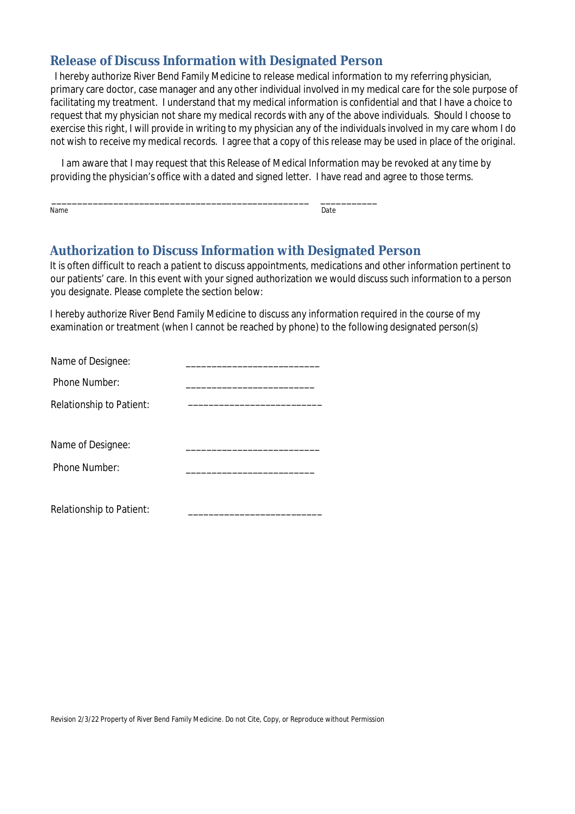### **Release of Discuss Information with Designated Person**

 I hereby authorize River Bend Family Medicine to release medical information to my referring physician, primary care doctor, case manager and any other individual involved in my medical care for the sole purpose of facilitating my treatment. I understand that my medical information is confidential and that I have a choice to request that my physician not share my medical records with any of the above individuals. Should I choose to exercise this right, I will provide in writing to my physician any of the individuals involved in my care whom I do not wish to receive my medical records. I agree that a copy of this release may be used in place of the original.

 I am aware that I may request that this Release of Medical Information may be revoked at any time by providing the physician's office with a dated and signed letter. I have read and agree to those terms.

\_\_\_\_\_\_\_\_\_\_\_\_\_\_\_\_\_\_\_\_\_\_\_\_\_\_\_\_\_\_\_\_\_\_\_\_\_\_\_\_\_\_\_\_\_\_\_\_\_\_ \_\_\_\_\_\_\_\_\_\_\_ Name Date is a state of the control of the control of the control of the control of the Date of the Control of

### **Authorization to Discuss Information with Designated Person**

It is often difficult to reach a patient to discuss appointments, medications and other information pertinent to our patients' care. In this event with your signed authorization we would discuss such information to a person you designate. Please complete the section below:

I hereby authorize River Bend Family Medicine to discuss any information required in the course of my examination or treatment (when I cannot be reached by phone) to the following designated person(s)

| Name of Designee:        |  |
|--------------------------|--|
| Phone Number:            |  |
| Relationship to Patient: |  |
|                          |  |
| Name of Designee:        |  |
| Phone Number:            |  |
|                          |  |
| Relationship to Patient: |  |

Revision 2/3/22 Property of River Bend Family Medicine. Do not Cite, Copy, or Reproduce without Permission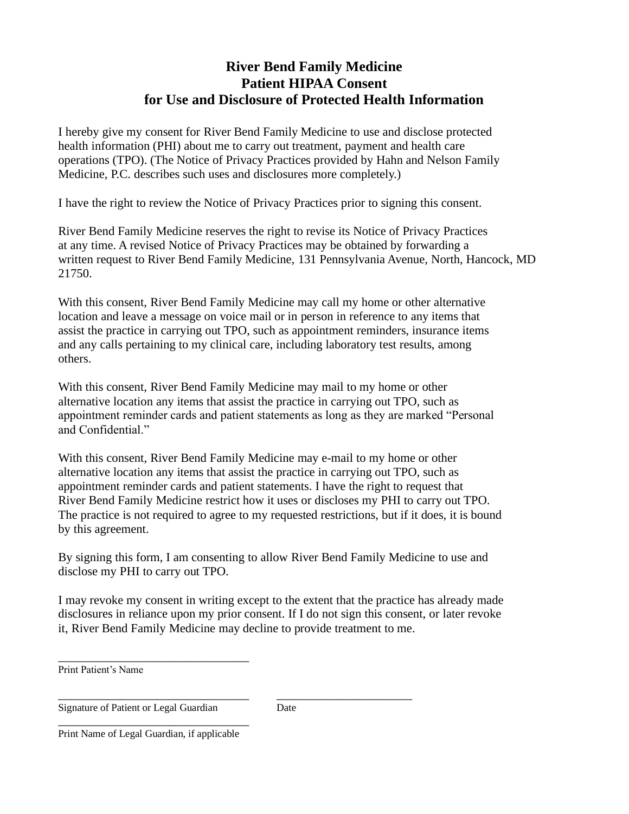### **River Bend Family Medicine Patient HIPAA Consent for Use and Disclosure of Protected Health Information**

I hereby give my consent for River Bend Family Medicine to use and disclose protected health information (PHI) about me to carry out treatment, payment and health care operations (TPO). (The Notice of Privacy Practices provided by Hahn and Nelson Family Medicine, P.C. describes such uses and disclosures more completely.)

I have the right to review the Notice of Privacy Practices prior to signing this consent.

River Bend Family Medicine reserves the right to revise its Notice of Privacy Practices at any time. A revised Notice of Privacy Practices may be obtained by forwarding a written request to River Bend Family Medicine, 131 Pennsylvania Avenue, North, Hancock, MD 21750.

With this consent, River Bend Family Medicine may call my home or other alternative location and leave a message on voice mail or in person in reference to any items that assist the practice in carrying out TPO, such as appointment reminders, insurance items and any calls pertaining to my clinical care, including laboratory test results, among others.

With this consent, River Bend Family Medicine may mail to my home or other alternative location any items that assist the practice in carrying out TPO, such as appointment reminder cards and patient statements as long as they are marked "Personal and Confidential."

With this consent, River Bend Family Medicine may e-mail to my home or other alternative location any items that assist the practice in carrying out TPO, such as appointment reminder cards and patient statements. I have the right to request that River Bend Family Medicine restrict how it uses or discloses my PHI to carry out TPO. The practice is not required to agree to my requested restrictions, but if it does, it is bound by this agreement.

By signing this form, I am consenting to allow River Bend Family Medicine to use and disclose my PHI to carry out TPO.

I may revoke my consent in writing except to the extent that the practice has already made disclosures in reliance upon my prior consent. If I do not sign this consent, or later revoke it, River Bend Family Medicine may decline to provide treatment to me.

Print Patient's Name

\_\_\_\_\_\_\_\_\_\_\_\_\_\_\_\_\_\_\_\_\_\_\_\_\_\_\_\_\_\_\_ \_\_\_\_\_\_\_\_\_\_\_\_\_\_\_\_\_\_\_\_\_\_ Signature of Patient or Legal Guardian Date

\_\_\_\_\_\_\_\_\_\_\_\_\_\_\_\_\_\_\_\_\_\_\_\_\_\_\_\_\_\_\_ Print Name of Legal Guardian, if applicable

\_\_\_\_\_\_\_\_\_\_\_\_\_\_\_\_\_\_\_\_\_\_\_\_\_\_\_\_\_\_\_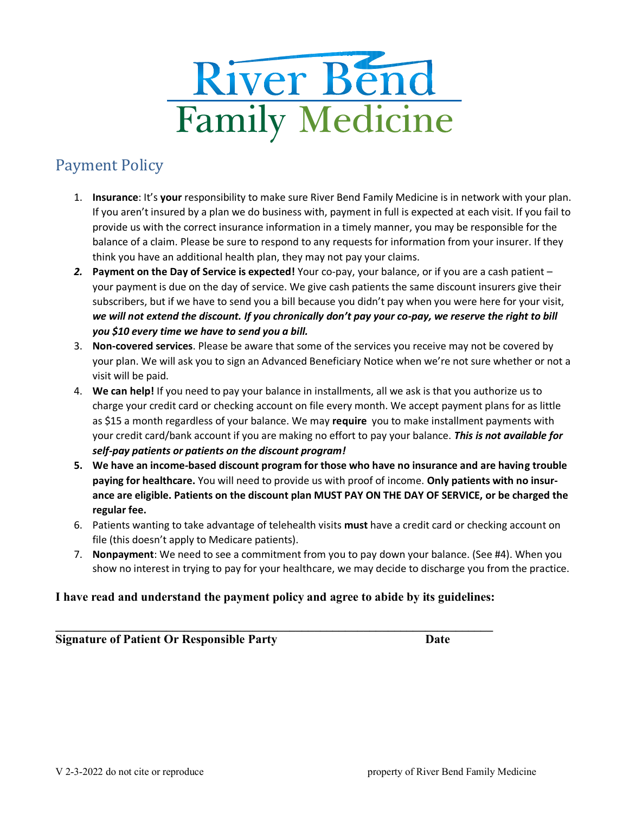

# Payment Policy

- 1. **Insurance**: It's **your** responsibility to make sure River Bend Family Medicine is in network with your plan. If you aren't insured by a plan we do business with, payment in full is expected at each visit. If you fail to provide us with the correct insurance information in a timely manner, you may be responsible for the balance of a claim. Please be sure to respond to any requests for information from your insurer. If they think you have an additional health plan, they may not pay your claims.
- *2.* **Payment on the Day of Service is expected!** Your co-pay, your balance, or if you are a cash patient your payment is due on the day of service. We give cash patients the same discount insurers give their subscribers, but if we have to send you a bill because you didn't pay when you were here for your visit, *we will not extend the discount. If you chronically don't pay your co-pay, we reserve the right to bill you \$10 every time we have to send you a bill.*
- 3. **Non-covered services**. Please be aware that some of the services you receive may not be covered by your plan. We will ask you to sign an Advanced Beneficiary Notice when we're not sure whether or not a visit will be paid.
- 4. **We can help!** If you need to pay your balance in installments, all we ask is that you authorize us to charge your credit card or checking account on file every month. We accept payment plans for as little as \$15 a month regardless of your balance. We may **require** you to make installment payments with your credit card/bank account if you are making no effort to pay your balance. *This is not available for self-pay patients or patients on the discount program!*
- **5. We have an income-based discount program for those who have no insurance and are having trouble paying for healthcare.** You will need to provide us with proof of income. **Only patients with no insurance are eligible. Patients on the discount plan MUST PAY ON THE DAY OF SERVICE, or be charged the regular fee.**
- 6. Patients wanting to take advantage of telehealth visits **must** have a credit card or checking account on file (this doesn't apply to Medicare patients).
- 7. **Nonpayment**: We need to see a commitment from you to pay down your balance. (See #4). When you show no interest in trying to pay for your healthcare, we may decide to discharge you from the practice.

#### **I have read and understand the payment policy and agree to abide by its guidelines:**

 $\mathcal{L} = \{ \mathcal{L} \mid \mathcal{L} \in \mathcal{L} \}$ **Signature of Patient Or Responsible Party Date**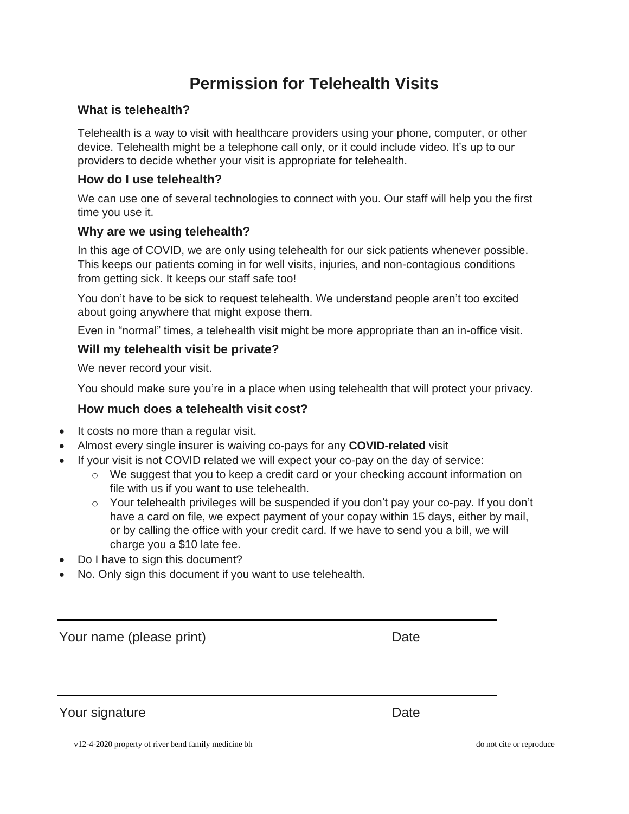# **Permission for Telehealth Visits**

#### **What is telehealth?**

Telehealth is a way to visit with healthcare providers using your phone, computer, or other device. Telehealth might be a telephone call only, or it could include video. It's up to our providers to decide whether your visit is appropriate for telehealth.

#### **How do I use telehealth?**

We can use one of several technologies to connect with you. Our staff will help you the first time you use it.

#### **Why are we using telehealth?**

In this age of COVID, we are only using telehealth for our sick patients whenever possible. This keeps our patients coming in for well visits, injuries, and non-contagious conditions from getting sick. It keeps our staff safe too!

You don't have to be sick to request telehealth. We understand people aren't too excited about going anywhere that might expose them.

Even in "normal" times, a telehealth visit might be more appropriate than an in-office visit.

#### **Will my telehealth visit be private?**

We never record your visit.

You should make sure you're in a place when using telehealth that will protect your privacy.

#### **How much does a telehealth visit cost?**

- It costs no more than a regular visit.
- Almost every single insurer is waiving co-pays for any **COVID-related** visit
- If your visit is not COVID related we will expect your co-pay on the day of service:
	- $\circ$  We suggest that you to keep a credit card or your checking account information on file with us if you want to use telehealth.
	- o Your telehealth privileges will be suspended if you don't pay your co-pay. If you don't have a card on file, we expect payment of your copay within 15 days, either by mail, or by calling the office with your credit card. If we have to send you a bill, we will charge you a \$10 late fee.
- Do I have to sign this document?
- No. Only sign this document if you want to use telehealth.

Your name (please print) Date

Your signature Date

v12-4-2020 property of river bend family medicine bh do not cite or reproduce